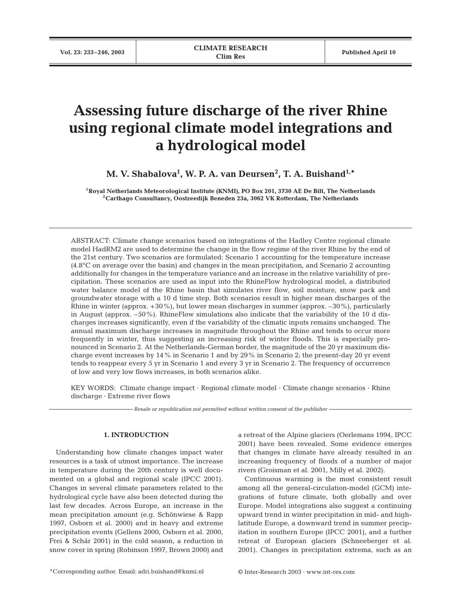# **Assessing future discharge of the river Rhine using regional climate model integrations and a hydrological model**

**M. V. Shabalova1 , W. P. A. van Deursen<sup>2</sup> , T. A. Buishand1,\***

**1Royal Netherlands Meteorological Institute (KNMI), PO Box 201, 3730 AE De Bilt, The Netherlands 2Carthago Consultancy, Oostzeedijk Beneden 23a, 3062 VK Rotterdam, The Netherlands**

ABSTRACT: Climate change scenarios based on integrations of the Hadley Centre regional climate model HadRM2 are used to determine the change in the flow regime of the river Rhine by the end of the 21st century. Two scenarios are formulated: Scenario 1 accounting for the temperature increase (4.8°C on average over the basin) and changes in the mean precipitation, and Scenario 2 accounting additionally for changes in the temperature variance and an increase in the relative variability of precipitation. These scenarios are used as input into the RhineFlow hydrological model, a distributed water balance model of the Rhine basin that simulates river flow, soil moisture, snow pack and groundwater storage with a 10 d time step. Both scenarios result in higher mean discharges of the Rhine in winter (approx. +30%), but lower mean discharges in summer (approx. –30%), particularly in August (approx. –50%). RhineFlow simulations also indicate that the variability of the 10 d discharges increases significantly, even if the variability of the climatic inputs remains unchanged. The annual maximum discharge increases in magnitude throughout the Rhine and tends to occur more frequently in winter, thus suggesting an increasing risk of winter floods. This is especially pronounced in Scenario 2. At the Netherlands-German border, the magnitude of the 20 yr maximum discharge event increases by 14% in Scenario 1 and by 29% in Scenario 2; the present-day 20 yr event tends to reappear every 5 yr in Scenario 1 and every 3 yr in Scenario 2. The frequency of occurrence of low and very low flows increases, in both scenarios alike.

KEY WORDS: Climate change impact · Regional climate model · Climate change scenarios · Rhine discharge · Extreme river flows

*Resale or republication not permitted without written consent of the publisher*

# **1. INTRODUCTION**

Understanding how climate changes impact water resources is a task of utmost importance. The increase in temperature during the 20th century is well documented on a global and regional scale (IPCC 2001). Changes in several climate parameters related to the hydrological cycle have also been detected during the last few decades. Across Europe, an increase in the mean precipitation amount (e.g. Schönwiese & Rapp 1997, Osborn et al. 2000) and in heavy and extreme precipitation events (Gellens 2000, Osborn et al. 2000, Frei & Schär 2001) in the cold season, a reduction in snow cover in spring (Robinson 1997, Brown 2000) and

\*Corresponding author. Email: adri.buishand@knmi.nl © Inter-Research 2003 · www.int-res.com

a retreat of the Alpine glaciers (Oerlemans 1994, IPCC 2001) have been revealed. Some evidence emerges that changes in climate have already resulted in an increasing frequency of floods of a number of major rivers (Groisman et al. 2001, Milly et al. 2002).

Continuous warming is the most consistent result among all the general-circulation-model (GCM) integrations of future climate, both globally and over Europe. Model integrations also suggest a continuing upward trend in winter precipitation in mid- and highlatitude Europe, a downward trend in summer precipitation in southern Europe (IPCC 2001), and a further retreat of European glaciers (Schneeberger et al. 2001). Changes in precipitation extrema, such as an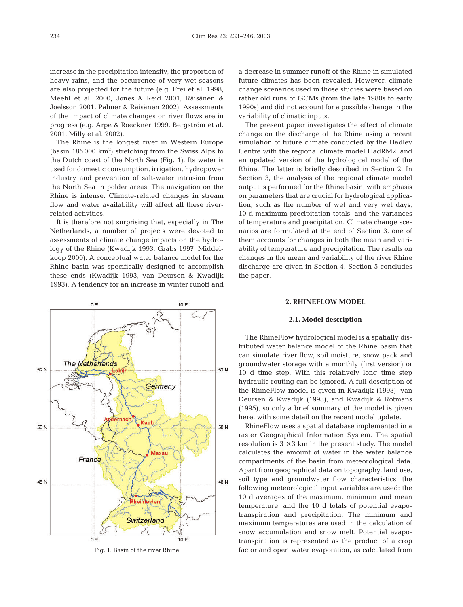increase in the precipitation intensity, the proportion of heavy rains, and the occurrence of very wet seasons are also projected for the future (e.g. Frei et al. 1998, Meehl et al. 2000, Jones & Reid 2001, Räisänen & Joelsson 2001, Palmer & Räisänen 2002). Assessments of the impact of climate changes on river flows are in progress (e.g. Arpe & Roeckner 1999, Bergström et al. 2001, Milly et al. 2002).

The Rhine is the longest river in Western Europe (basin  $185\,000\ \text{km}^2$ ) stretching from the Swiss Alps to the Dutch coast of the North Sea (Fig. 1). Its water is used for domestic consumption, irrigation, hydropower industry and prevention of salt-water intrusion from the North Sea in polder areas. The navigation on the Rhine is intense. Climate-related changes in stream flow and water availability will affect all these riverrelated activities.

It is therefore not surprising that, especially in The Netherlands, a number of projects were devoted to assessments of climate change impacts on the hydrology of the Rhine (Kwadijk 1993, Grabs 1997, Middelkoop 2000). A conceptual water balance model for the Rhine basin was specifically designed to accomplish these ends (Kwadijk 1993, van Deursen & Kwadijk 1993). A tendency for an increase in winter runoff and



Fig. 1. Basin of the river Rhine

a decrease in summer runoff of the Rhine in simulated future climates has been revealed. However, climate change scenarios used in those studies were based on rather old runs of GCMs (from the late 1980s to early 1990s) and did not account for a possible change in the variability of climatic inputs.

The present paper investigates the effect of climate change on the discharge of the Rhine using a recent simulation of future climate conducted by the Hadley Centre with the regional climate model HadRM2, and an updated version of the hydrological model of the Rhine. The latter is briefly described in Section 2. In Section 3, the analysis of the regional climate model output is performed for the Rhine basin, with emphasis on parameters that are crucial for hydrological application, such as the number of wet and very wet days, 10 d maximum precipitation totals, and the variances of temperature and precipitation. Climate change scenarios are formulated at the end of Section 3; one of them accounts for changes in both the mean and variability of temperature and precipitation. The results on changes in the mean and variability of the river Rhine discharge are given in Section 4. Section 5 concludes the paper.

## **2. RHINEFLOW MODEL**

## **2.1. Model description**

The RhineFlow hydrological model is a spatially distributed water balance model of the Rhine basin that can simulate river flow, soil moisture, snow pack and groundwater storage with a monthly (first version) or 10 d time step. With this relatively long time step hydraulic routing can be ignored. A full description of the RhineFlow model is given in Kwadijk (1993), van Deursen & Kwadijk (1993), and Kwadijk & Rotmans (1995), so only a brief summary of the model is given here, with some detail on the recent model update.

RhineFlow uses a spatial database implemented in a raster Geographical Information System. The spatial resolution is  $3 \times 3$  km in the present study. The model calculates the amount of water in the water balance compartments of the basin from meteorological data. Apart from geographical data on topography, land use, soil type and groundwater flow characteristics, the following meteorological input variables are used: the 10 d averages of the maximum, minimum and mean temperature, and the 10 d totals of potential evapotranspiration and precipitation. The minimum and maximum temperatures are used in the calculation of snow accumulation and snow melt. Potential evapotranspiration is represented as the product of a crop factor and open water evaporation, as calculated from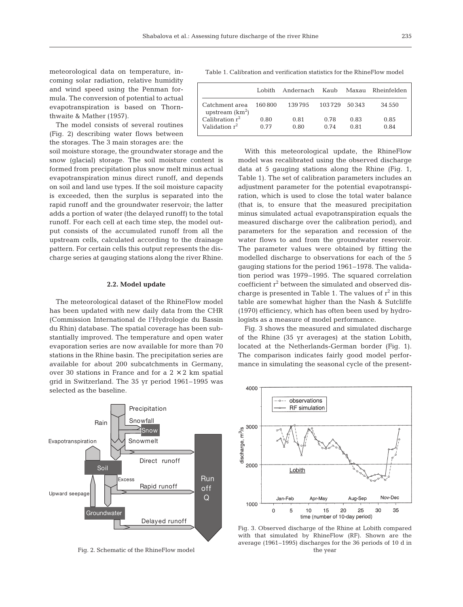meteorological data on temperature, incoming solar radiation, relative humidity and wind speed using the Penman formula. The conversion of potential to actual evapotranspiration is based on Thornthwaite & Mather (1957).

The model consists of several routines (Fig. 2) describing water flows between the storages. The 3 main storages are: the

soil moisture storage, the groundwater storage and the snow (glacial) storage. The soil moisture content is formed from precipitation plus snow melt minus actual evapotranspiration minus direct runoff, and depends on soil and land use types. If the soil moisture capacity is exceeded, then the surplus is separated into the rapid runoff and the groundwater reservoir; the latter adds a portion of water (the delayed runoff) to the total runoff. For each cell at each time step, the model output consists of the accumulated runoff from all the upstream cells, calculated according to the drainage pattern. For certain cells this output represents the discharge series at gauging stations along the river Rhine.

#### **2.2. Model update**

The meteorological dataset of the RhineFlow model has been updated with new daily data from the CHR (Commission International de l'Hydrologie du Bassin du Rhin) database. The spatial coverage has been substantially improved. The temperature and open water evaporation series are now available for more than 70 stations in the Rhine basin. The precipitation series are available for about 200 subcatchments in Germany, over 30 stations in France and for a  $2 \times 2$  km spatial grid in Switzerland. The 35 yr period 1961–1995 was selected as the baseline.



Fig. 2. Schematic of the RhineFlow model

Table 1. Calibration and verification statistics for the RhineFlow model

|                                     | Lobith. | Andernach | Kauh   | Maxau  | Rheinfelden |
|-------------------------------------|---------|-----------|--------|--------|-------------|
| Catchment area<br>upstream $(km^2)$ | 160.800 | 139795    | 103729 | 50.343 | 34 550      |
| Calibration $r^2$                   | 0.80    | 0.81      | 0.78   | 0.83   | 0.85        |
| Validation $r^2$                    | 0.77    | 0.80      | 0.74   | 0.81   | 0.84        |

With this meteorological update, the RhineFlow model was recalibrated using the observed discharge data at 5 gauging stations along the Rhine (Fig. 1, Table 1). The set of calibration parameters includes an adjustment parameter for the potential evapotranspiration, which is used to close the total water balance (that is, to ensure that the measured precipitation minus simulated actual evapotranspiration equals the measured discharge over the calibration period), and parameters for the separation and recession of the water flows to and from the groundwater reservoir. The parameter values were obtained by fitting the modelled discharge to observations for each of the 5 gauging stations for the period 1961–1978. The validation period was 1979–1995. The squared correlation coefficient r<sup>2</sup> between the simulated and observed discharge is presented in Table 1. The values of  $r^2$  in this table are somewhat higher than the Nash & Sutcliffe (1970) efficiency, which has often been used by hydrologists as a measure of model performance.

Fig. 3 shows the measured and simulated discharge of the Rhine (35 yr averages) at the station Lobith, located at the Netherlands-German border (Fig. 1). The comparison indicates fairly good model performance in simulating the seasonal cycle of the present-

 $4000$ observations **RF** simulation 3000 discharge, m<sup>3</sup>/s 2000 Lobith Nov-Dec Jan-Feb Apr-May Aug-Sep 1000 20 25 35  $\Omega$ 5  $10$ 15 30 time (number of 10-day period)

Fig. 3. Observed discharge of the Rhine at Lobith compared with that simulated by RhineFlow (RF). Shown are the average (1961–1995) discharges for the 36 periods of 10 d in the year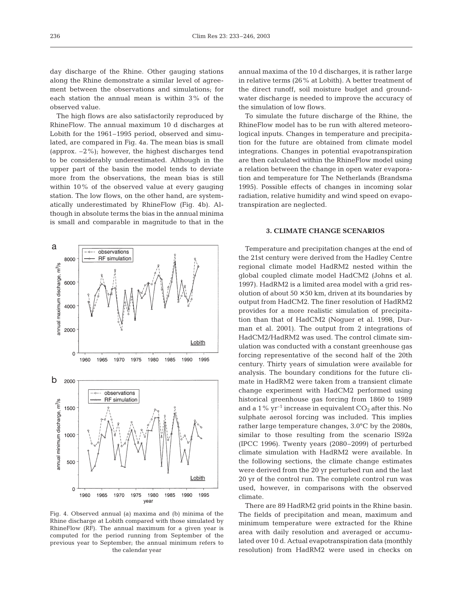day discharge of the Rhine. Other gauging stations along the Rhine demonstrate a similar level of agreement between the observations and simulations; for each station the annual mean is within 3% of the observed value.

The high flows are also satisfactorily reproduced by RhineFlow. The annual maximum 10 d discharges at Lobith for the 1961–1995 period, observed and simulated, are compared in Fig. 4a. The mean bias is small (approx. –2%); however, the highest discharges tend to be considerably underestimated. Although in the upper part of the basin the model tends to deviate more from the observations, the mean bias is still within 10% of the observed value at every gauging station. The low flows, on the other hand, are systematically underestimated by RhineFlow (Fig. 4b). Although in absolute terms the bias in the annual minima is small and comparable in magnitude to that in the



Fig. 4. Observed annual (a) maxima and (b) minima of the Rhine discharge at Lobith compared with those simulated by RhineFlow (RF). The annual maximum for a given year is computed for the period running from September of the previous year to September; the annual minimum refers to the calendar year

annual maxima of the 10 d discharges, it is rather large in relative terms (26% at Lobith). A better treatment of the direct runoff, soil moisture budget and groundwater discharge is needed to improve the accuracy of the simulation of low flows.

To simulate the future discharge of the Rhine, the RhineFlow model has to be run with altered meteorological inputs. Changes in temperature and precipitation for the future are obtained from climate model integrations. Changes in potential evapotranspiration are then calculated within the RhineFlow model using a relation between the change in open water evaporation and temperature for The Netherlands (Brandsma 1995). Possible effects of changes in incoming solar radiation, relative humidity and wind speed on evapotranspiration are neglected.

# **3. CLIMATE CHANGE SCENARIOS**

Temperature and precipitation changes at the end of the 21st century were derived from the Hadley Centre regional climate model HadRM2 nested within the global coupled climate model HadCM2 (Johns et al. 1997). HadRM2 is a limited area model with a grid resolution of about  $50 \times 50$  km, driven at its boundaries by output from HadCM2. The finer resolution of HadRM2 provides for a more realistic simulation of precipitation than that of HadCM2 (Noguer et al. 1998, Durman et al. 2001). The output from 2 integrations of HadCM2/HadRM2 was used. The control climate simulation was conducted with a constant greenhouse gas forcing representative of the second half of the 20th century. Thirty years of simulation were available for analysis. The boundary conditions for the future climate in HadRM2 were taken from a transient climate change experiment with HadCM2 performed using historical greenhouse gas forcing from 1860 to 1989 and a 1%  $yr^{-1}$  increase in equivalent  $CO_2$  after this. No sulphate aerosol forcing was included. This implies rather large temperature changes, 3.0°C by the 2080s, similar to those resulting from the scenario IS92a (IPCC 1996). Twenty years (2080–2099) of perturbed climate simulation with HadRM2 were available. In the following sections, the climate change estimates were derived from the 20 yr perturbed run and the last 20 yr of the control run. The complete control run was used, however, in comparisons with the observed climate.

There are 89 HadRM2 grid points in the Rhine basin. The fields of precipitation and mean, maximum and minimum temperature were extracted for the Rhine area with daily resolution and averaged or accumulated over 10 d. Actual evapotranspiration data (monthly resolution) from HadRM2 were used in checks on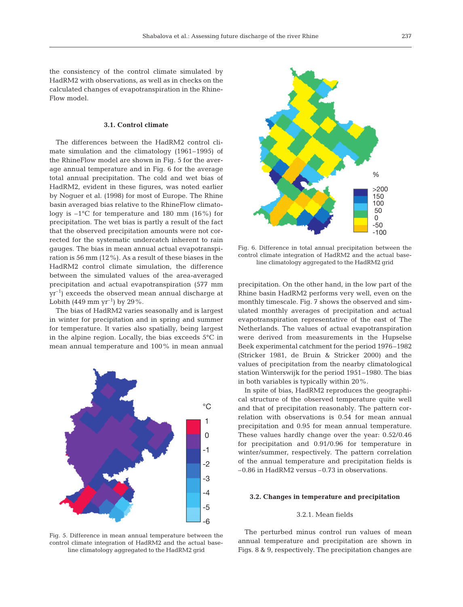the consistency of the control climate simulated by HadRM2 with observations, as well as in checks on the calculated changes of evapotranspiration in the Rhine-Flow model.

#### **3.1. Control climate**

The differences between the HadRM2 control climate simulation and the climatology (1961–1995) of the RhineFlow model are shown in Fig. 5 for the average annual temperature and in Fig. 6 for the average total annual precipitation. The cold and wet bias of HadRM2, evident in these figures, was noted earlier by Noguer et al. (1998) for most of Europe. The Rhine basin averaged bias relative to the RhineFlow climatology is –1°C for temperature and 180 mm (16%) for precipitation. The wet bias is partly a result of the fact that the observed precipitation amounts were not corrected for the systematic undercatch inherent to rain gauges. The bias in mean annual actual evapotranspiration is 56 mm (12%). As a result of these biases in the HadRM2 control climate simulation, the difference between the simulated values of the area-averaged precipitation and actual evapotranspiration (577 mm  $yr^{-1}$ ) exceeds the observed mean annual discharge at Lobith (449 mm yr<sup>-1</sup>) by 29%.

The bias of HadRM2 varies seasonally and is largest in winter for precipitation and in spring and summer for temperature. It varies also spatially, being largest in the alpine region. Locally, the bias exceeds 5°C in mean annual temperature and 100% in mean annual



Fig. 5. Difference in mean annual temperature between the control climate integration of HadRM2 and the actual baseline climatology aggregated to the HadRM2 grid



Fig. 6. Difference in total annual precipitation between the control climate integration of HadRM2 and the actual baseline climatology aggregated to the HadRM2 grid

precipitation. On the other hand, in the low part of the Rhine basin HadRM2 performs very well, even on the monthly timescale. Fig. 7 shows the observed and simulated monthly averages of precipitation and actual evapotranspiration representative of the east of The Netherlands. The values of actual evapotranspiration were derived from measurements in the Hupselse Beek experimental catchment for the period 1976–1982 (Stricker 1981, de Bruin & Stricker 2000) and the values of precipitation from the nearby climatological station Winterswijk for the period 1951–1980. The bias in both variables is typically within 20%.

In spite of bias, HadRM2 reproduces the geographical structure of the observed temperature quite well and that of precipitation reasonably. The pattern correlation with observations is 0.54 for mean annual precipitation and 0.95 for mean annual temperature. These values hardly change over the year: 0.52/0.46 for precipitation and 0.91/0.96 for temperature in winter/summer, respectively. The pattern correlation of the annual temperature and precipitation fields is –0.86 in HadRM2 versus –0.73 in observations.

#### **3.2. Changes in temperature and precipitation**

# 3.2.1. Mean fields

The perturbed minus control run values of mean annual temperature and precipitation are shown in Figs. 8 & 9, respectively. The precipitation changes are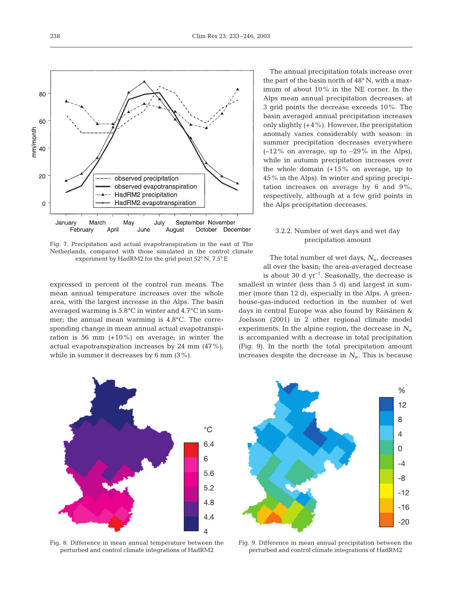

Fig. 7. Precipitation and actual evapotranspiration in the east of The Netherlands, compared with those simulated in the control climate experiment by HadRM2 for the grid point 52° N, 7.5° E

expressed in percent of the control run means. The mean annual temperature increases over the whole area, with the largest increase in the Alps. The basin averaged warming is 5.8°C in winter and 4.7°C in summer; the annual mean warming is 4.8°C. The corresponding change in mean annual actual evapotranspiration is 56 mm  $(+10\%)$  on average; in winter the actual evapotranspiration increases by 24 mm (47%), while in summer it decreases by 6 mm (3%).

The annual precipitation totals increase over the part of the basin north of 48° N, with a maximum of about 10% in the NE corner. In the Alps mean annual precipitation decreases; at 3 grid points the decrease exceeds 10%. The basin averaged annual precipitation increases only slightly  $(+4\%)$ . However, the precipitation anomaly varies considerably with season: in summer precipitation decreases everywhere  $(-12\%$  on average, up to  $-29\%$  in the Alps), while in autumn precipitation increases over the whole domain  $(+15\%$  on average, up to 45% in the Alps). In winter and spring precipitation increases on average by 6 and 9%, respectively, although at a few grid points in the Alps precipitation decreases.

# 3.2.2. Number of wet days and wet day precipitation amount

The total number of wet days,  $N_{w}$ , decreases all over the basin; the area-averaged decrease is about 30 d  $yr^{-1}$ . Seasonally, the decrease is smallest in winter (less than 5 d) and largest in summer (more than 12 d), especially in the Alps. A green-

house-gas-induced reduction in the number of wet days in central Europe was also found by Räisänen & Joelsson (2001) in 2 other regional climate model experiments. In the alpine region, the decrease in  $N_{w}$ is accompanied with a decrease in total precipitation (Fig. 9). In the north the total precipitation amount increases despite the decrease in  $N_{w}$ . This is because



Fig. 8. Difference in mean annual temperature between the perturbed and control climate integrations of HadRM2



Fig. 9. Difference in mean annual precipitation between the perturbed and control climate integrations of HadRM2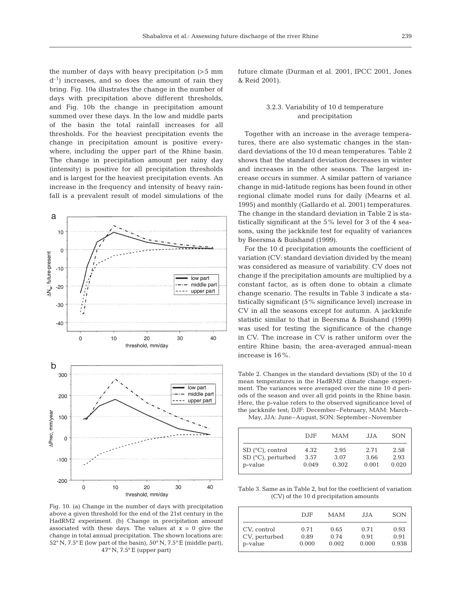the number of days with heavy precipitation (>5 mm  $d^{-1}$ ) increases, and so does the amount of rain they bring. Fig. 10a illustrates the change in the number of days with precipitation above different thresholds, and Fig. 10b the change in precipitation amount summed over these days. In the low and middle parts of the basin the total rainfall increases for all thresholds. For the heaviest precipitation events the change in precipitation amount is positive everywhere, including the upper part of the Rhine basin. The change in precipitation amount per rainy day (intensity) is positive for all precipitation thresholds and is largest for the heaviest precipitation events. An increase in the frequency and intensity of heavy rainfall is a prevalent result of model simulations of the



Fig. 10. (a) Change in the number of days with precipitation above a given threshold for the end of the 21st century in the HadRM2 experiment. (b) Change in precipitation amount associated with these days. The values at  $x = 0$  give the change in total annual precipitation. The shown locations are: 52° N, 7.5° E (low part of the basin), 50° N, 7.5° E (middle part), 47° N, 7.5° E (upper part)

future climate (Durman et al. 2001, IPCC 2001, Jones & Reid 2001).

# 3.2.3. Variability of 10 d temperature and precipitation

Together with an increase in the average temperatures, there are also systematic changes in the standard deviations of the 10 d mean temperatures. Table 2 shows that the standard deviation decreases in winter and increases in the other seasons. The largest increase occurs in summer. A similar pattern of variance change in mid-latitude regions has been found in other regional climate model runs for daily (Mearns et al. 1995) and monthly (Gallardo et al. 2001) temperatures. The change in the standard deviation in Table 2 is statistically significant at the 5% level for 3 of the 4 seasons, using the jackknife test for equality of variances by Beersma & Buishand (1999).

For the 10 d precipitation amounts the coefficient of variation (CV: standard deviation divided by the mean) was considered as measure of variability. CV does not change if the precipitation amounts are multiplied by a constant factor, as is often done to obtain a climate change scenario. The results in Table 3 indicate a statistically significant (5% significance level) increase in CV in all the seasons except for autumn. A jackknife statistic similar to that in Beersma & Buishand (1999) was used for testing the significance of the change in CV. The increase in CV is rather uniform over the entire Rhine basin; the area-averaged annual-mean increase is 16%.

Table 2. Changes in the standard deviations (SD) of the 10 d mean temperatures in the HadRM2 climate change experiment. The variances were averaged over the nine 10 d periods of the season and over all grid points in the Rhine basin. Here, the p-value refers to the observed significance level of the jackknife test; DJF: December–February, MAM: March– May, JJA: June–August, SON: September–November

|                            | $D_{\rm J}$ F | MAM   | JJA.  | <b>SON</b> |
|----------------------------|---------------|-------|-------|------------|
| SD $(^{\circ}C)$ , control | 4.32          | 2.95  | 2.71  | 2.58       |
| $\vert$ SD (°C), perturbed | 3.57          | 3.07  | 3.66  | 2.93       |
| p-value                    | 0.049         | 0.302 | 0.001 | 0.020      |

Table 3. Same as in Table 2, but for the coefficient of variation (CV) of the 10 d precipitation amounts

|               | $D_{\rm J}$ | <b>MAM</b> | .J.JA | <b>SON</b> |
|---------------|-------------|------------|-------|------------|
| CV, control   | 0.71        | 0.65       | 0.71  | 0.93       |
| CV, perturbed | 0.89        | 0.74       | 0.91  | 0.91       |
| p-value       | 0.000       | 0.002      | 0.000 | 0.938      |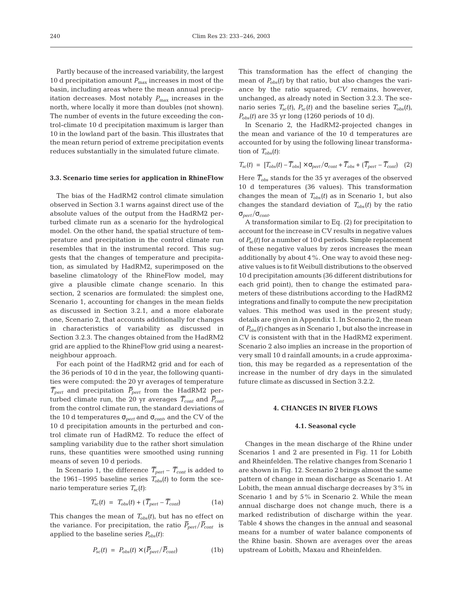Partly because of the increased variability, the largest 10 d precipitation amount  $P_{\text{max}}$  increases in most of the basin, including areas where the mean annual precipitation decreases. Most notably  $P_{\text{max}}$  increases in the north, where locally it more than doubles (not shown). The number of events in the future exceeding the control-climate 10 d precipitation maximum is larger than 10 in the lowland part of the basin. This illustrates that the mean return period of extreme precipitation events reduces substantially in the simulated future climate.

#### **3.3. Scenario time series for application in RhineFlow**

The bias of the HadRM2 control climate simulation observed in Section 3.1 warns against direct use of the absolute values of the output from the HadRM2 perturbed climate run as a scenario for the hydrological model. On the other hand, the spatial structure of temperature and precipitation in the control climate run resembles that in the instrumental record. This suggests that the changes of temperature and precipitation, as simulated by HadRM2, superimposed on the baseline climatology of the RhineFlow model, may give a plausible climate change scenario. In this section, 2 scenarios are formulated: the simplest one, Scenario 1, accounting for changes in the mean fields as discussed in Section 3.2.1, and a more elaborate one, Scenario 2, that accounts additionally for changes in characteristics of variability as discussed in Section 3.2.3. The changes obtained from the HadRM2 grid are applied to the RhineFlow grid using a nearestneighbour approach.

For each point of the HadRM2 grid and for each of the 36 periods of 10 d in the year, the following quantities were computed: the 20 yr averages of temperature  $\overline{T}_{pert}$  and precipitation  $\overline{P}_{pert}$  from the HadRM2 perturbed climate run, the 20 yr averages  $\overline{T}_{cont}$  and  $\overline{P}_{cont}$ from the control climate run, the standard deviations of the 10 d temperatures  $σ_{pert}$  and  $σ_{cont}$  and the CV of the 10 d precipitation amounts in the perturbed and control climate run of HadRM2. To reduce the effect of sampling variability due to the rather short simulation runs, these quantities were smoothed using running means of seven 10 d periods.

In Scenario 1, the difference  $\overline{T}_{pert} - \overline{T}_{cont}$  is added to the 1961–1995 baseline series  $T_{obs}(t)$  to form the scenario temperature series  $T_{sc}(t)$ :

$$
T_{sc}(t) = T_{obs}(t) + (\overline{T}_{pert} - \overline{T}_{cont})
$$
 (1a)

This changes the mean of  $T_{obs}(t)$ , but has no effect on the variance. For precipitation, the ratio  $\bar{P}_{pert}/\bar{P}_{cont}$  is applied to the baseline series *Pobs(t)*:

$$
P_{sc}(t) = P_{obs}(t) \times (\overline{P}_{pert}/\overline{P}_{cont})
$$
 (1b)

This transformation has the effect of changing the mean of  $P_{obs}(t)$  by that ratio, but also changes the variance by the ratio squared; *CV* remains, however, unchanged, as already noted in Section 3.2.3. The scenario series  $T_{sc}(t)$ ,  $P_{sc}(t)$  and the baseline series  $T_{obs}(t)$ ,  $P_{obs}(t)$  are 35 yr long (1260 periods of 10 d).

In Scenario 2, the HadRM2-projected changes in the mean and variance of the 10 d temperatures are accounted for by using the following linear transformation of *Tobs(t)*:

$$
T_{sc}(t) = [T_{obs}(t) - \overline{T}_{obs}] \times \sigma_{pert} / \sigma_{cont} + \overline{T}_{obs} + (\overline{T}_{pert} - \overline{T}_{cont})
$$
 (2)

Here  $\overline{T}_{obs}$  stands for the 35 yr averages of the observed 10 d temperatures (36 values). This transformation changes the mean of  $T_{obs}(t)$  as in Scenario 1, but also changes the standard deviation of  $T_{obs}(t)$  by the ratio  $σ<sub>pert</sub>/σ<sub>cont</sub>.$ 

A transformation similar to Eq. (2) for precipitation to account for the increase in CV results in negative values of *Psc(t)* for a number of 10 d periods. Simple replacement of these negative values by zeros increases the mean additionally by about 4%. One way to avoid these negative values is to fit Weibull distributions to the observed 10 d precipitation amounts (36 different distributions for each grid point), then to change the estimated parameters of these distributions according to the HadRM2 integrations and finally to compute the new precipitation values. This method was used in the present study; details are given in Appendix 1. In Scenario 2, the mean of *Pobs(t)* changes as in Scenario 1, but also the increase in CV is consistent with that in the HadRM2 experiment. Scenario 2 also implies an increase in the proportion of very small 10 d rainfall amounts; in a crude approximation, this may be regarded as a representation of the increase in the number of dry days in the simulated future climate as discussed in Section 3.2.2.

# **4. CHANGES IN RIVER FLOWS**

#### **4.1. Seasonal cycle**

Changes in the mean discharge of the Rhine under Scenarios 1 and 2 are presented in Fig. 11 for Lobith and Rheinfelden. The relative changes from Scenario 1 are shown in Fig. 12. Scenario 2 brings almost the same pattern of change in mean discharge as Scenario 1. At Lobith, the mean annual discharge decreases by 3% in Scenario 1 and by 5% in Scenario 2. While the mean annual discharge does not change much, there is a marked redistribution of discharge within the year. Table 4 shows the changes in the annual and seasonal means for a number of water balance components of the Rhine basin. Shown are averages over the areas upstream of Lobith, Maxau and Rheinfelden.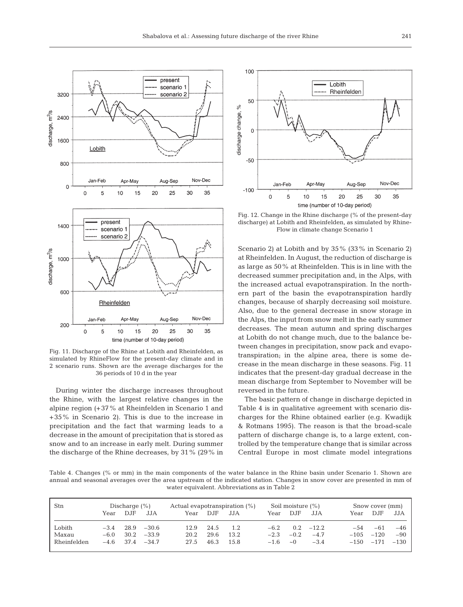

Fig. 11. Discharge of the Rhine at Lobith and Rheinfelden, as simulated by RhineFlow for the present-day climate and in 2 scenario runs. Shown are the average discharges for the 36 periods of 10 d in the year

During winter the discharge increases throughout the Rhine, with the largest relative changes in the alpine region (+37% at Rheinfelden in Scenario 1 and +35% in Scenario 2). This is due to the increase in precipitation and the fact that warming leads to a decrease in the amount of precipitation that is stored as snow and to an increase in early melt. During summer the discharge of the Rhine decreases, by 31% (29% in



Fig. 12. Change in the Rhine discharge (% of the present-day discharge) at Lobith and Rheinfelden, as simulated by Rhine-Flow in climate change Scenario 1

Scenario 2) at Lobith and by 35% (33% in Scenario 2) at Rheinfelden. In August, the reduction of discharge is as large as 50% at Rheinfelden. This is in line with the decreased summer precipitation and, in the Alps, with the increased actual evapotranspiration. In the northern part of the basin the evapotranspiration hardly changes, because of sharply decreasing soil moisture. Also, due to the general decrease in snow storage in the Alps, the input from snow melt in the early summer decreases. The mean autumn and spring discharges at Lobith do not change much, due to the balance between changes in precipitation, snow pack and evapotranspiration; in the alpine area, there is some decrease in the mean discharge in these seasons. Fig. 11 indicates that the present-day gradual decrease in the mean discharge from September to November will be reversed in the future.

The basic pattern of change in discharge depicted in Table 4 is in qualitative agreement with scenario discharges for the Rhine obtained earlier (e.g. Kwadijk & Rotmans 1995). The reason is that the broad-scale pattern of discharge change is, to a large extent, controlled by the temperature change that is similar across Central Europe in most climate model integrations

Table 4. Changes (% or mm) in the main components of the water balance in the Rhine basin under Scenario 1. Shown are annual and seasonal averages over the area upstream of the indicated station. Changes in snow cover are presented in mm of water equivalent. Abbreviations as in Table 2

| Stn         | Discharge $(\% )$ |      | Actual evapotranspiration $(\%)$ |      | Soil moisture $(\% )$ |      |        | Snow cover (mm) |         |         |        |        |
|-------------|-------------------|------|----------------------------------|------|-----------------------|------|--------|-----------------|---------|---------|--------|--------|
|             | Year              | D.JF | JJA.                             | Year | D.JF                  | JJA. | Year   | D.JF            | JJA     | Year    | D.JF   | JJA    |
| Lobith      | $-3.4$            | 28.9 | $-30.6$                          | 12.9 | 24.5                  | 1.2  | $-6.2$ | 0.2             | $-12.2$ | -54     | -61    | $-46$  |
| Maxau       | $-6.0$            | 30.2 | $-33.9$                          | 20.2 | 29.6                  | 13.2 | $-2.3$ | $-0.2$          | $-4.7$  | $-105$  | $-120$ | $-90$  |
| Rheinfelden | $-4.6$            | 37.4 | $-34.7$                          | 27.5 | 46.3                  | 15.8 | $-1.6$ | $\sim$ 0        | $-3.4$  | $-1.50$ | $-171$ | $-130$ |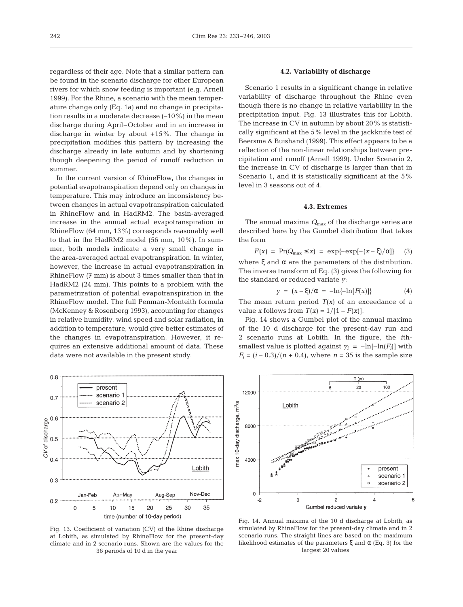regardless of their age. Note that a similar pattern can be found in the scenario discharge for other European rivers for which snow feeding is important (e.g. Arnell 1999). For the Rhine, a scenario with the mean temperature change only (Eq. 1a) and no change in precipitation results in a moderate decrease (–10%) in the mean discharge during April–October and in an increase in discharge in winter by about +15%. The change in precipitation modifies this pattern by increasing the discharge already in late autumn and by shortening though deepening the period of runoff reduction in summer.

In the current version of RhineFlow, the changes in potential evapotranspiration depend only on changes in temperature. This may introduce an inconsistency between changes in actual evapotranspiration calculated in RhineFlow and in HadRM2. The basin-averaged increase in the annual actual evapotranspiration in RhineFlow (64 mm, 13%) corresponds reasonably well to that in the HadRM2 model (56 mm, 10%). In summer, both models indicate a very small change in the area-averaged actual evapotranspiration. In winter, however, the increase in actual evapotranspiration in RhineFlow (7 mm) is about 3 times smaller than that in HadRM2 (24 mm). This points to a problem with the parametrization of potential evapotranspiration in the RhineFlow model. The full Penman-Monteith formula (McKenney & Rosenberg 1993), accounting for changes in relative humidity, wind speed and solar radiation, in addition to temperature, would give better estimates of the changes in evapotranspiration. However, it requires an extensive additional amount of data. These data were not available in the present study.



Fig. 13. Coefficient of variation (CV) of the Rhine discharge at Lobith, as simulated by RhineFlow for the present-day climate and in 2 scenario runs. Shown are the values for the 36 periods of 10 d in the year

#### **4.2. Variability of discharge**

Scenario 1 results in a significant change in relative variability of discharge throughout the Rhine even though there is no change in relative variability in the precipitation input. Fig. 13 illustrates this for Lobith. The increase in CV in autumn by about 20% is statistically significant at the 5% level in the jackknife test of Beersma & Buishand (1999). This effect appears to be a reflection of the non-linear relationships between precipitation and runoff (Arnell 1999). Under Scenario 2, the increase in CV of discharge is larger than that in Scenario 1, and it is statistically significant at the 5% level in 3 seasons out of 4.

# **4.3. Extremes**

The annual maxima  $Q_{\text{max}}$  of the discharge series are described here by the Gumbel distribution that takes the form

 $F(x) = Pr(Q_{\text{max}} \le x) = \exp\{-\exp[-(x-\xi)/\alpha]\}$  (3) where  $\xi$  and  $\alpha$  are the parameters of the distribution. The inverse transform of Eq. (3) gives the following for the standard or reduced variate *y*:

$$
y = (x - \xi)/\alpha = -\ln\{-\ln[F(x)]\}
$$
 (4)

The mean return period  $T(x)$  of an exceedance of a value *x* follows from  $T(x) = 1/[1 - F(x)].$ 

Fig. 14 shows a Gumbel plot of the annual maxima of the 10 d discharge for the present-day run and 2 scenario runs at Lobith. In the figure, the *i*thsmallest value is plotted against  $y_i = -\ln[-\ln(F_i)]$  with  $F_i = (i - 0.3)/(n + 0.4)$ , where  $n = 35$  is the sample size



Fig. 14. Annual maxima of the 10 d discharge at Lobith, as simulated by RhineFlow for the present-day climate and in 2 scenario runs. The straight lines are based on the maximum likelihood estimates of the parameters ξ and α (Eq. 3) for the largest 20 values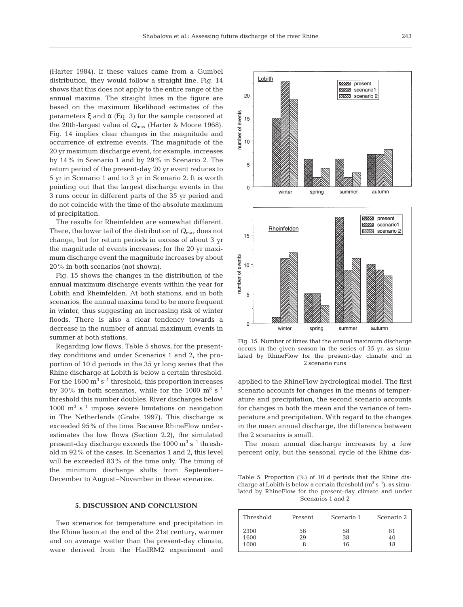(Harter 1984). If these values came from a Gumbel distribution, they would follow a straight line. Fig. 14 shows that this does not apply to the entire range of the annual maxima. The straight lines in the figure are based on the maximum likelihood estimates of the parameters ξ and α (Eq. 3) for the sample censored at the 20th-largest value of *Q*max (Harter & Moore 1968). Fig. 14 implies clear changes in the magnitude and occurrence of extreme events. The magnitude of the 20 yr maximum discharge event, for example, increases by 14% in Scenario 1 and by 29% in Scenario 2. The return period of the present-day 20 yr event reduces to 5 yr in Scenario 1 and to 3 yr in Scenario 2. It is worth pointing out that the largest discharge events in the 3 runs occur in different parts of the 35 yr period and do not coincide with the time of the absolute maximum of precipitation.

The results for Rheinfelden are somewhat different. There, the lower tail of the distribution of  $Q_{\text{max}}$  does not change, but for return periods in excess of about 3 yr the magnitude of events increases; for the 20 yr maximum discharge event the magnitude increases by about 20% in both scenarios (not shown).

Fig. 15 shows the changes in the distribution of the annual maximum discharge events within the year for Lobith and Rheinfelden. At both stations, and in both scenarios, the annual maxima tend to be more frequent in winter, thus suggesting an increasing risk of winter floods. There is also a clear tendency towards a decrease in the number of annual maximum events in summer at both stations.

Regarding low flows, Table 5 shows, for the presentday conditions and under Scenarios 1 and 2, the proportion of 10 d periods in the 35 yr long series that the Rhine discharge at Lobith is below a certain threshold. For the 1600  $\text{m}^3$  s<sup>-1</sup> threshold, this proportion increases by 30% in both scenarios, while for the 1000  $\mathrm{m}^3$  s<sup>-1</sup> threshold this number doubles. River discharges below  $1000 \text{ m}^3 \text{ s}^{-1}$  impose severe limitations on navigation in The Netherlands (Grabs 1997). This discharge is exceeded 95% of the time. Because RhineFlow underestimates the low flows (Section 2.2), the simulated present-day discharge exceeds the 1000  $\text{m}^3$  s<sup>-1</sup> threshold in 92% of the cases. In Scenarios 1 and 2, this level will be exceeded 83% of the time only. The timing of the minimum discharge shifts from September– December to August–November in these scenarios.

### **5. DISCUSSION AND CONCLUSION**

Two scenarios for temperature and precipitation in the Rhine basin at the end of the 21st century, warmer and on average wetter than the present-day climate, were derived from the HadRM2 experiment and



Fig. 15. Number of times that the annual maximum discharge occurs in the given season in the series of 35 yr, as simulated by RhineFlow for the present-day climate and in 2 scenario runs

applied to the RhineFlow hydrological model. The first scenario accounts for changes in the means of temperature and precipitation, the second scenario accounts for changes in both the mean and the variance of temperature and precipitation. With regard to the changes in the mean annual discharge, the difference between the 2 scenarios is small.

The mean annual discharge increases by a few percent only, but the seasonal cycle of the Rhine dis-

Table 5. Proportion (%) of 10 d periods that the Rhine discharge at Lobith is below a certain threshold  $(m^3 s^{-1})$ , as simulated by RhineFlow for the present-day climate and under Scenarios 1 and 2

| Threshold | Present | Scenario 1 | Scenario 2 |
|-----------|---------|------------|------------|
| 2300      | 56      | 58         | 61         |
| 1600      | 29      | 38         | 40         |
| 1000      |         | 16         | 18         |
|           |         |            |            |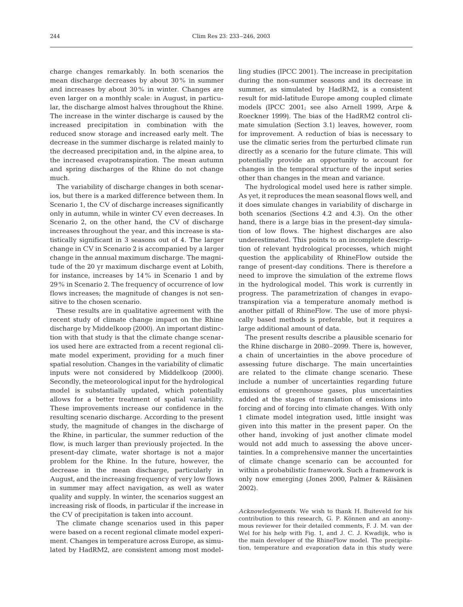charge changes remarkably. In both scenarios the mean discharge decreases by about 30% in summer and increases by about 30% in winter. Changes are even larger on a monthly scale: in August, in particular, the discharge almost halves throughout the Rhine. The increase in the winter discharge is caused by the increased precipitation in combination with the reduced snow storage and increased early melt. The decrease in the summer discharge is related mainly to the decreased precipitation and, in the alpine area, to the increased evapotranspiration. The mean autumn and spring discharges of the Rhine do not change much.

The variability of discharge changes in both scenarios, but there is a marked difference between them. In Scenario 1, the CV of discharge increases significantly only in autumn, while in winter CV even decreases. In Scenario 2, on the other hand, the CV of discharge increases throughout the year, and this increase is statistically significant in 3 seasons out of 4. The larger change in CV in Scenario 2 is accompanied by a larger change in the annual maximum discharge. The magnitude of the 20 yr maximum discharge event at Lobith, for instance, increases by 14% in Scenario 1 and by 29% in Scenario 2. The frequency of occurrence of low flows increases; the magnitude of changes is not sensitive to the chosen scenario.

These results are in qualitative agreement with the recent study of climate change impact on the Rhine discharge by Middelkoop (2000). An important distinction with that study is that the climate change scenarios used here are extracted from a recent regional climate model experiment, providing for a much finer spatial resolution. Changes in the variability of climatic inputs were not considered by Middelkoop (2000). Secondly, the meteorological input for the hydrological model is substantially updated, which potentially allows for a better treatment of spatial variability. These improvements increase our confidence in the resulting scenario discharge. According to the present study, the magnitude of changes in the discharge of the Rhine, in particular, the summer reduction of the flow, is much larger than previously projected. In the present-day climate, water shortage is not a major problem for the Rhine. In the future, however, the decrease in the mean discharge, particularly in August, and the increasing frequency of very low flows in summer may affect navigation, as well as water quality and supply. In winter, the scenarios suggest an increasing risk of floods, in particular if the increase in the CV of precipitation is taken into account.

The climate change scenarios used in this paper were based on a recent regional climate model experiment. Changes in temperature across Europe, as simulated by HadRM2, are consistent among most modelling studies (IPCC 2001). The increase in precipitation during the non-summer seasons and its decrease in summer, as simulated by HadRM2, is a consistent result for mid-latitude Europe among coupled climate models (IPCC 2001; see also Arnell 1999, Arpe & Roeckner 1999). The bias of the HadRM2 control climate simulation (Section 3.1) leaves, however, room for improvement. A reduction of bias is necessary to use the climatic series from the perturbed climate run directly as a scenario for the future climate. This will potentially provide an opportunity to account for changes in the temporal structure of the input series other than changes in the mean and variance.

The hydrological model used here is rather simple. As yet, it reproduces the mean seasonal flows well, and it does simulate changes in variability of discharge in both scenarios (Sections 4.2 and 4.3). On the other hand, there is a large bias in the present-day simulation of low flows. The highest discharges are also underestimated. This points to an incomplete description of relevant hydrological processes, which might question the applicability of RhineFlow outside the range of present-day conditions. There is therefore a need to improve the simulation of the extreme flows in the hydrological model. This work is currently in progress. The parametrization of changes in evapotranspiration via a temperature anomaly method is another pitfall of RhineFlow. The use of more physically based methods is preferable, but it requires a large additional amount of data.

The present results describe a plausible scenario for the Rhine discharge in 2080–2099. There is, however, a chain of uncertainties in the above procedure of assessing future discharge. The main uncertainties are related to the climate change scenario. These include a number of uncertainties regarding future emissions of greenhouse gases, plus uncertainties added at the stages of translation of emissions into forcing and of forcing into climate changes. With only 1 climate model integration used, little insight was given into this matter in the present paper. On the other hand, invoking of just another climate model would not add much to assessing the above uncertainties. In a comprehensive manner the uncertainties of climate change scenario can be accounted for within a probabilistic framework. Such a framework is only now emerging (Jones 2000, Palmer & Räisänen 2002).

*Acknowledgements.* We wish to thank H. Buiteveld for his contribution to this research, G. P. Können and an anonymous reviewer for their detailed comments, F. J. M. van der Wel for his help with Fig. 1, and J. C. J. Kwadijk, who is the main developer of the RhineFlow model. The precipitation, temperature and evaporation data in this study were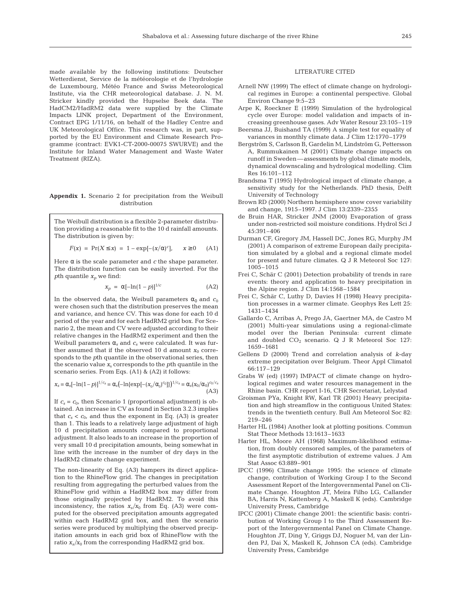made available by the following institutions: Deutscher Wetterdienst, Service de la météorologie et de l'hydrologie de Luxembourg, Météo France and Swiss Meteorological Institute, via the CHR meteorological database. J. N. M. Stricker kindly provided the Hupselse Beek data. The HadCM2/HadRM2 data were supplied by the Climate Impacts LINK project, Department of the Environment, Contract EPG 1/11/16, on behalf of the Hadley Centre and UK Meteorological Office. This research was, in part, supported by the EU Environment and Climate Research Programme (contract: EVK1-CT-2000-00075 SWURVE) and the Institute for Inland Water Management and Waste Water Treatment (RIZA).

#### **Appendix 1.** Scenario 2 for precipitation from the Weibull distribution

The Weibull distribution is a flexible 2-parameter distribution providing a reasonable fit to the 10 d rainfall amounts. The distribution is given by:

$$
F(x) = Pr(X \le x) = 1 - exp[-(x/\alpha)^c], \quad x \ge 0 \quad (A1)
$$

Here  $\alpha$  is the scale parameter and  $c$  the shape parameter. The distribution function can be easily inverted. For the *p*th quantile  $x_p$  we find:

$$
x_p = \alpha [-\ln(1-p)]^{1/c} \tag{A2}
$$

In the observed data, the Weibull parameters  $\alpha_0$  and  $c_0$ were chosen such that the distribution preserves the mean and variance, and hence CV. This was done for each 10 d period of the year and for each HadRM2 grid box. For Scenario 2, the mean and CV were adjusted according to their relative changes in the HadRM2 experiment and then the Weibull parameters  $\alpha_s$  and  $c_s$  were calculated. It was further assumed that if the observed 10 d amount  $x_0$  corresponds to the *p*th quantile in the observational series, then the scenario value  $x<sub>s</sub>$  corresponds to the *p*th quantile in the scenario series. From Eqs. (A1) & (A2) it follows:

$$
x_s = \alpha_s [-\ln(1-p)]^{1/c_s} = \alpha_s (-\ln{\exp[-(x_0/\alpha_0)^{c_0}]})^{1/c_s} = \alpha_s (x_0/\alpha_0)^{c_0/c_s}
$$
(A3)

If  $c_s = c_0$ , then Scenario 1 (proportional adjustment) is obtained. An increase in CV as found in Section 3.2.3 implies that  $c_s < c_0$ , and thus the exponent in Eq. (A3) is greater than 1. This leads to a relatively large adjustment of high 10 d precipitation amounts compared to proportional adjustment. It also leads to an increase in the proportion of very small 10 d precipitation amounts, being somewhat in line with the increase in the number of dry days in the HadRM2 climate change experiment.

The non-linearity of Eq. (A3) hampers its direct application to the RhineFlow grid. The changes in precipitation resulting from aggregating the perturbed values from the RhineFlow grid within a HadRM2 box may differ from those originally projected by HadRM2. To avoid this inconsistency, the ratios  $x_s/x_0$  from Eq. (A3) were computed for the observed precipitation amounts aggregated within each HadRM2 grid box, and then the scenario series were produced by multiplying the observed precipitation amounts in each grid box of RhineFlow with the ratio  $x_s/x_0$  from the corresponding HadRM2 grid box.

#### LITERATURE CITED

- Arnell NW (1999) The effect of climate change on hydrological regimes in Europe: a continental perspective. Global Environ Change 9:5–23
- Arpe K, Roeckner E (1999) Simulation of the hydrological cycle over Europe: model validation and impacts of increasing greenhouse gases. Adv Water Resour 23:105–119
- Beersma JJ, Buishand TA (1999) A simple test for equality of variances in monthly climate data. J Clim 12:1770–1779
- Bergström S, Carlsson B, Gardelin M, Lindström G, Pettersson A, Rummukainen M (2001) Climate change impacts on runoff in Sweden—assessments by global climate models, dynamical downscaling and hydrological modelling. Clim Res 16:101–112
- Brandsma T (1995) Hydrological impact of climate change, a sensitivity study for the Netherlands. PhD thesis, Delft University of Technology
- Brown RD (2000) Northern hemisphere snow cover variability and change, 1915–1997. J Clim 13:2339–2355
- de Bruin HAR, Stricker JNM (2000) Evaporation of grass under non-restricted soil moisture conditions. Hydrol Sci J 45:391–406
- Durman CF, Gregory JM, Hassell DC, Jones RG, Murphy JM (2001) A comparison of extreme European daily precipitation simulated by a global and a regional climate model for present and future climates. Q J R Meteorol Soc 127: 1005–1015
- Frei C, Schär C (2001) Detection probability of trends in rare events: theory and application to heavy precipitation in the Alpine region. J Clim 14:1568–1584
- Frei C, Schär C, Luthy D, Davies H (1998) Heavy precipitation processes in a warmer climate. Geophys Res Lett 25: 1431–1434
- Gallardo C, Arribas A, Prego JA, Gaertner MA, de Castro M (2001) Multi-year simulations using a regional-climate model over the Iberian Peninsula: current climate and doubled  $CO<sub>2</sub>$  scenario. Q J R Meteorol Soc 127: 1659–1681
- Gellens D (2000) Trend and correlation analysis of *k*-day extreme precipitation over Belgium. Theor Appl Climatol 66:117–129
- Grabs W (ed) (1997) IMPACT of climate change on hydrological regimes and water resources management in the Rhine basin. CHR report I-16, CHR Secretariat, Lelystad
- Groisman PYa, Knight RW, Karl TR (2001) Heavy precipitation and high streamflow in the contiguous United States: trends in the twentieth century. Bull Am Meteorol Soc 82: 219–246
- Harter HL (1984) Another look at plotting positions. Commun Stat Theor Methods 13:1613–1633
- Harter HL, Moore AH (1968) Maximum-likelihood estimation, from doubly censored samples, of the parameters of the first asymptotic distribution of extreme values. J Am Stat Assoc 63:889–901
- IPCC (1996) Climate change 1995: the science of climate change, contribution of Working Group I to the Second Assessment Report of the Intergovernmental Panel on Climate Change. Houghton JT, Meira Filho LG, Callander BA, Harris N, Kattenberg A, Maskell K (eds). Cambridge University Press, Cambridge
- IPCC (2001) Climate change 2001: the scientific basis: contribution of Working Group I to the Third Assessment Report of the Intergovernmental Panel on Climate Change. Houghton JT, Ding Y, Griggs DJ, Noguer M, van der Linden PJ, Dai X, Maskell K, Johnson CA (eds). Cambridge University Press, Cambridge